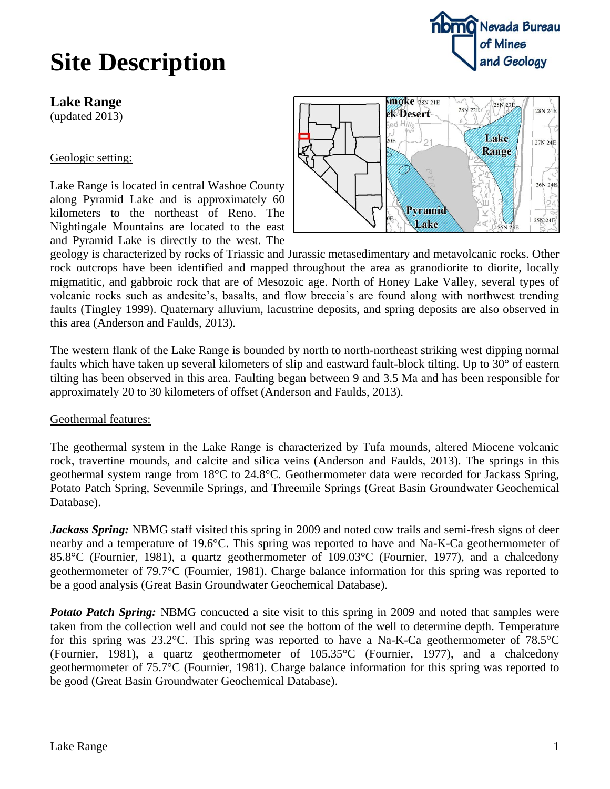### **Site Description**



**Lake Range**

(updated 2013)

Geologic setting:

Lake Range is located in central Washoe County along Pyramid Lake and is approximately 60 kilometers to the northeast of Reno. The Nightingale Mountains are located to the east and Pyramid Lake is directly to the west. The



geology is characterized by rocks of Triassic and Jurassic metasedimentary and metavolcanic rocks. Other rock outcrops have been identified and mapped throughout the area as granodiorite to diorite, locally migmatitic, and gabbroic rock that are of Mesozoic age. North of Honey Lake Valley, several types of volcanic rocks such as andesite's, basalts, and flow breccia's are found along with northwest trending faults (Tingley 1999). Quaternary alluvium, lacustrine deposits, and spring deposits are also observed in this area (Anderson and Faulds, 2013).

The western flank of the Lake Range is bounded by north to north-northeast striking west dipping normal faults which have taken up several kilometers of slip and eastward fault-block tilting. Up to 30° of eastern tilting has been observed in this area. Faulting began between 9 and 3.5 Ma and has been responsible for approximately 20 to 30 kilometers of offset (Anderson and Faulds, 2013).

#### Geothermal features:

The geothermal system in the Lake Range is characterized by Tufa mounds, altered Miocene volcanic rock, travertine mounds, and calcite and silica veins (Anderson and Faulds, 2013). The springs in this geothermal system range from 18°C to 24.8°C. Geothermometer data were recorded for Jackass Spring, Potato Patch Spring, Sevenmile Springs, and Threemile Springs (Great Basin Groundwater Geochemical Database).

*Jackass Spring:* NBMG staff visited this spring in 2009 and noted cow trails and semi-fresh signs of deer nearby and a temperature of 19.6°C. This spring was reported to have and Na-K-Ca geothermometer of 85.8°C (Fournier, 1981), a quartz geothermometer of 109.03°C (Fournier, 1977), and a chalcedony geothermometer of 79.7°C (Fournier, 1981). Charge balance information for this spring was reported to be a good analysis (Great Basin Groundwater Geochemical Database).

*Potato Patch Spring:* NBMG concucted a site visit to this spring in 2009 and noted that samples were taken from the collection well and could not see the bottom of the well to determine depth. Temperature for this spring was 23.2°C. This spring was reported to have a Na-K-Ca geothermometer of 78.5°C (Fournier, 1981), a quartz geothermometer of 105.35°C (Fournier, 1977), and a chalcedony geothermometer of 75.7°C (Fournier, 1981). Charge balance information for this spring was reported to be good (Great Basin Groundwater Geochemical Database).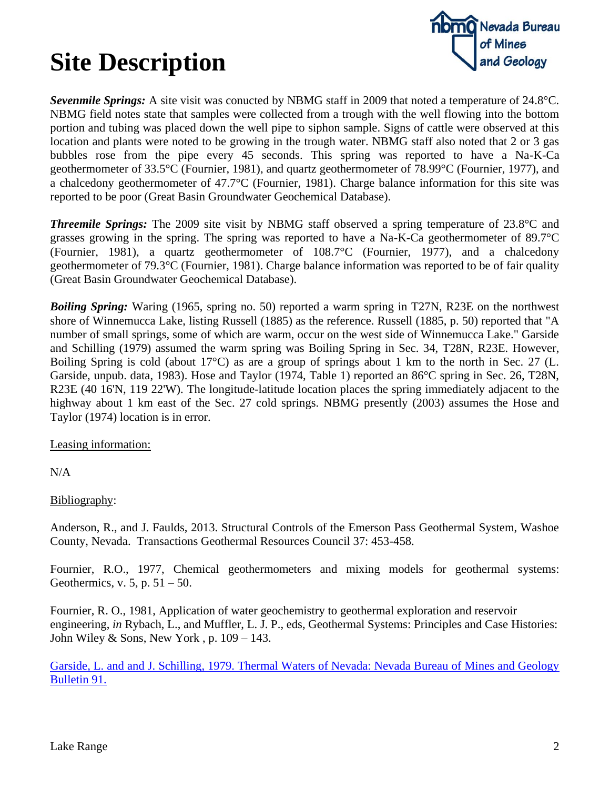# **Site Description**



*Sevenmile Springs:* A site visit was conucted by NBMG staff in 2009 that noted a temperature of 24.8°C. NBMG field notes state that samples were collected from a trough with the well flowing into the bottom portion and tubing was placed down the well pipe to siphon sample. Signs of cattle were observed at this location and plants were noted to be growing in the trough water. NBMG staff also noted that 2 or 3 gas bubbles rose from the pipe every 45 seconds. This spring was reported to have a Na-K-Ca geothermometer of 33.5°C (Fournier, 1981), and quartz geothermometer of 78.99°C (Fournier, 1977), and a chalcedony geothermometer of 47.7°C (Fournier, 1981). Charge balance information for this site was reported to be poor (Great Basin Groundwater Geochemical Database).

*Threemile Springs:* The 2009 site visit by NBMG staff observed a spring temperature of 23.8°C and grasses growing in the spring. The spring was reported to have a Na-K-Ca geothermometer of 89.7°C (Fournier, 1981), a quartz geothermometer of 108.7°C (Fournier, 1977), and a chalcedony geothermometer of 79.3°C (Fournier, 1981). Charge balance information was reported to be of fair quality (Great Basin Groundwater Geochemical Database).

*Boiling Spring:* Waring (1965, spring no. 50) reported a warm spring in T27N, R23E on the northwest shore of Winnemucca Lake, listing Russell (1885) as the reference. Russell (1885, p. 50) reported that "A number of small springs, some of which are warm, occur on the west side of Winnemucca Lake." Garside and Schilling (1979) assumed the warm spring was Boiling Spring in Sec. 34, T28N, R23E. However, Boiling Spring is cold (about 17°C) as are a group of springs about 1 km to the north in Sec. 27 (L. Garside, unpub. data, 1983). Hose and Taylor (1974, Table 1) reported an 86°C spring in Sec. 26, T28N, R23E (40 16'N, 119 22'W). The longitude-latitude location places the spring immediately adjacent to the highway about 1 km east of the Sec. 27 cold springs. NBMG presently (2003) assumes the Hose and Taylor (1974) location is in error.

Leasing information:

N/A

#### Bibliography:

Anderson, R., and J. Faulds, 2013. Structural Controls of the Emerson Pass Geothermal System, Washoe County, Nevada. Transactions Geothermal Resources Council 37: 453-458.

Fournier, R.O., 1977, Chemical geothermometers and mixing models for geothermal systems: Geothermics, v.  $5$ , p.  $51 - 50$ .

Fournier, R. O., 1981, Application of water geochemistry to geothermal exploration and reservoir engineering, *in* Rybach, L., and Muffler, L. J. P., eds, Geothermal Systems: Principles and Case Histories: John Wiley & Sons, New York, p.  $109 - 143$ .

Garside, L. and [and J. Schilling, 1979. Thermal Waters of Nevada: Nevada Bureau of Mines and Geology](http://www.nbmg.unr.edu/dox/b91/b91text.pdf)  [Bulletin 91.](http://www.nbmg.unr.edu/dox/b91/b91text.pdf)